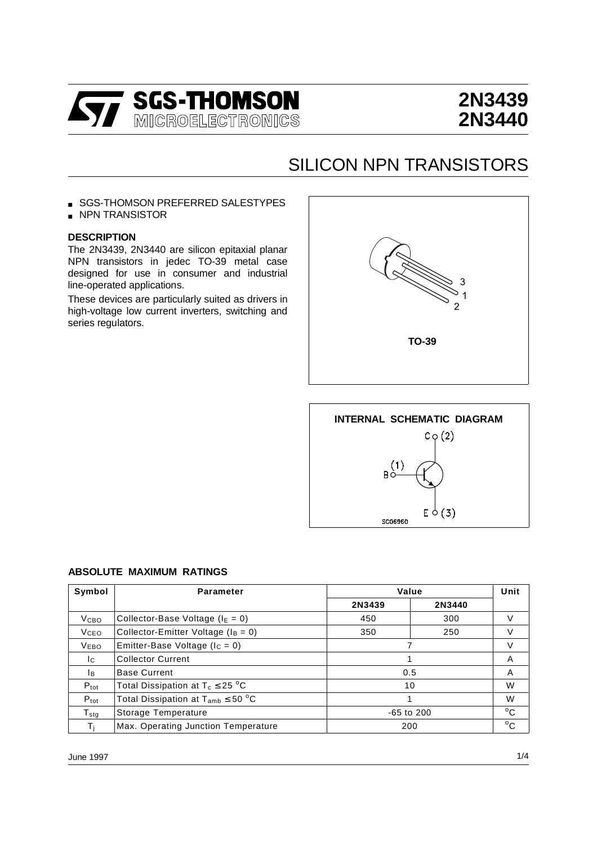

# **2N3439 2N3440**

## SILICON NPN TRANSISTORS

■ SGS-THOMSON PREFERRED SALESTYPES

■ NPN TRANSISTOR

### **DESCRIPTION**

The 2N3439, 2N3440 are silicon epitaxial planar NPN transistors in jedec TO-39 metal case designed for use in consumer and industrial line-operated applications.

These devices are particularly suited as drivers in high-voltage low current inverters, switching and series regulators.





#### **ABSOLUTE MAXIMUM RATINGS**

| Symbol              | <b>Parameter</b>                          | Value          |        | Unit         |
|---------------------|-------------------------------------------|----------------|--------|--------------|
|                     |                                           | 2N3439         | 2N3440 |              |
| V <sub>CBO</sub>    | Collector-Base Voltage ( $I_E = 0$ )      | 450            | 300    | V            |
| <b>V</b> ceo        | Collector-Emitter Voltage ( $I_B = 0$ )   | 350<br>250     |        | V            |
| <b>VEBO</b>         | Emitter-Base Voltage ( $I_c = 0$ )        |                |        | V            |
| Ic.                 | <b>Collector Current</b>                  |                |        | A            |
| Iв.                 | <b>Base Current</b>                       | 0.5            |        | A            |
| $P_{\text{tot}}$    | Total Dissipation at $T_c \leq 25$ °C     | 10             |        | W            |
| $P_{\text{tot}}$    | Total Dissipation at $T_{amb} \leq 50$ °C |                |        | W            |
| ${\sf T}_{\sf stg}$ | Storage Temperature                       | $-65$ to $200$ |        | $^{\circ}$ C |
| T:                  | Max. Operating Junction Temperature       | 200            |        | $^{\circ}$ C |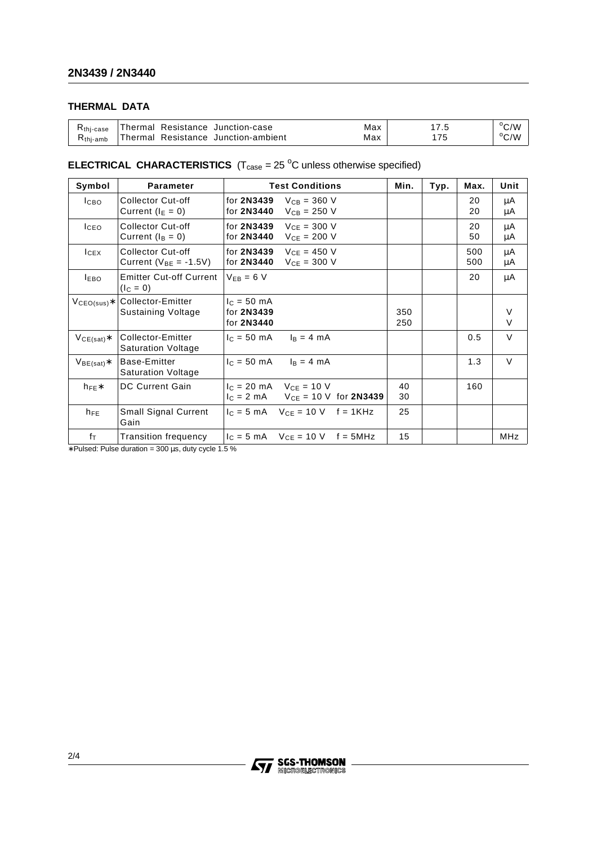## **THERMAL DATA**

| K <sub>thi-case</sub> | 'Thermal Resistance Junction-case   | Max |               | $\rm ^{\circ}$ C/W |
|-----------------------|-------------------------------------|-----|---------------|--------------------|
| $Rthi-amb$            | Thermal Resistance Junction-ambient | Max | $\rightarrow$ | °C/W               |

### **ELECTRICAL CHARACTERISTICS**  $(T_{\text{case}} = 25 \text{ °C}$  unless otherwise specified)

| Symbol             | <b>Parameter</b>                                  | <b>Test Conditions</b>                                                                                        | Min.       | Typ. | Max.       | Unit        |
|--------------------|---------------------------------------------------|---------------------------------------------------------------------------------------------------------------|------------|------|------------|-------------|
| <b>І</b> сво       | Collector Cut-off<br>Current ( $I_E = 0$ )        | for 2N3439<br>$V_{CB} = 360 V$<br>for 2N3440<br>$V_{CB} = 250 V$                                              |            |      | 20<br>20   | μA<br>μA    |
| <b>ICEO</b>        | <b>Collector Cut-off</b><br>Current $(I_B = 0)$   | for 2N3439<br>$VCF = 300 V$<br>for 2N3440<br>$V_{CE} = 200 V$                                                 |            |      | 20<br>50   | μA<br>μA    |
| $lc$ <sub>EX</sub> | Collector Cut-off<br>Current ( $V_{BE} = -1.5V$ ) | for 2N3439<br>$V_{CF} = 450 V$<br>for 2N3440<br>$V_{CE} = 300 V$                                              |            |      | 500<br>500 | μA<br>μA    |
| <b>LEBO</b>        | <b>Emitter Cut-off Current</b><br>$(I_C = 0)$     | $V_{EB} = 6 V$                                                                                                |            |      | 20         | μA          |
| $VCEO(sus)*$       | Collector-Emitter<br>Sustaining Voltage           | $c = 50$ mA<br>for 2N3439<br>for 2N3440                                                                       | 350<br>250 |      |            | V<br>$\vee$ |
| $VCE(sat)*$        | Collector-Emitter<br><b>Saturation Voltage</b>    | $I_B = 4 mA$<br>$c = 50 \, \text{mA}$                                                                         |            |      | 0.5        | $\vee$      |
| $V_{BE(sat)}$ *    | Base-Emitter<br><b>Saturation Voltage</b>         | $I_c = 50$ mA<br>$I_B = 4 mA$                                                                                 |            |      | 1.3        | $\vee$      |
| $h_{FE}$           | <b>DC Current Gain</b>                            | $lc = 20 \text{ mA}$ V <sub>CF</sub> = 10 V<br>$I_C = 2 \text{ mA}$ $V_{CE} = 10 \text{ V}$ for <b>2N3439</b> | 40<br>30   |      | 160        |             |
| $h_{FE}$           | <b>Small Signal Current</b><br>Gain               | $I_C = 5$ mA $V_{CE} = 10$ V f = 1KHz                                                                         | 25         |      |            |             |
| $f_{\text{T}}$     | <b>Transition frequency</b>                       | $I_C = 5 \text{ mA}$ $V_{CF} = 10 \text{ V}$<br>$f = 5MHz$                                                    | 15         |      |            | MHz         |

∗ Pulsed: Pulse duration = 300 µs, duty cycle 1.5 %

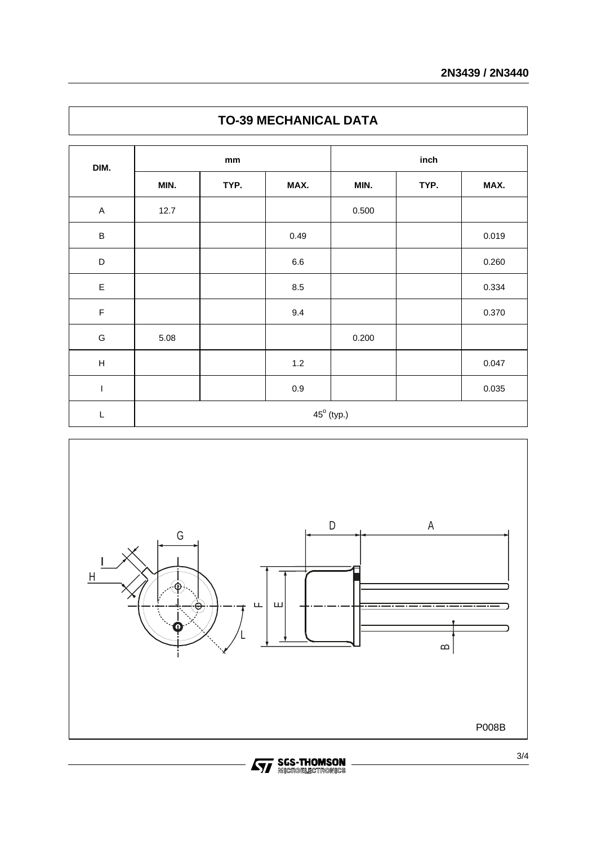| DIM.                      | mm                  |      |         | inch  |      |       |  |
|---------------------------|---------------------|------|---------|-------|------|-------|--|
|                           | MIN.                | TYP. | MAX.    | MIN.  | TYP. | MAX.  |  |
| $\boldsymbol{\mathsf{A}}$ | 12.7                |      |         | 0.500 |      |       |  |
| $\sf B$                   |                     |      | 0.49    |       |      | 0.019 |  |
| $\mathsf D$               |                     |      | $6.6\,$ |       |      | 0.260 |  |
| $\mathsf E$               |                     |      | 8.5     |       |      | 0.334 |  |
| $\mathsf F$               |                     |      | 9.4     |       |      | 0.370 |  |
| ${\mathsf G}$             | 5.08                |      |         | 0.200 |      |       |  |
| $\boldsymbol{\mathsf{H}}$ |                     |      | $1.2\,$ |       |      | 0.047 |  |
| $\mathsf I$               |                     |      | $0.9\,$ |       |      | 0.035 |  |
| L                         | $45^{\circ}$ (typ.) |      |         |       |      |       |  |

## **TO-39 MECHANICAL DATA**



**STAGES-THOMSON**<br>**STAGE REGISTRONICS**